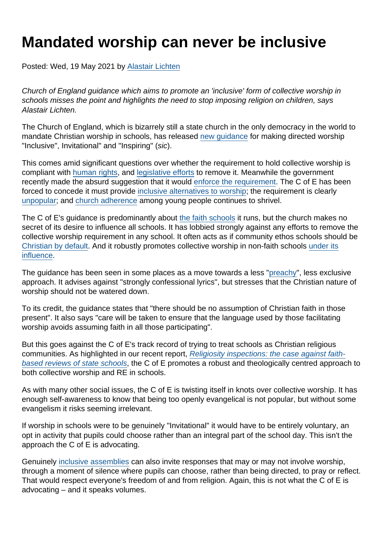## Mandated worship can never be inclusive

Posted: Wed, 19 May 2021 by [Alastair Lichten](https://www.secularism.org.uk/opinion/authors/847)

Church of England guidance which aims to promote an 'inclusive' form of collective worship in schools misses the point and highlights the need to stop imposing religion on children, says Alastair Lichten.

The Church of England, which is bizarrely still a state church in the only democracy in the world to mandate Christian worship in schools, has released [new guidance](https://www.churchofengland.org/sites/default/files/2021-05/Collective Worship Guidance 18052021.pdf) for making directed worship "Inclusive", Invitational" and "Inspiring" (sic).

This comes amid significant questions over whether the requirement to hold collective worship is compliant with [human rights,](https://www.secularism.org.uk/news/2020/11/religion-shouldnt-undermine-childrens-rights-in-uk-nss-tells-un) and [legislative efforts](https://www.secularism.org.uk/opinion/2019/12/the-requirement-to-hold-collective-worship-in-schools-is-crumbling-and-not-worth-saving) to remove it. Meanwhile the government recently made the absurd suggestion that it would [enforce the requirement.](https://www.secularism.org.uk/news/2021/04/nss-urges-repeal-not-enforcement-of-law-on-worship-in-schools) The C of E has been forced to concede it must provide [inclusive alternatives to worship;](https://www.secularism.org.uk/opinion/2019/12/the-requirement-to-hold-collective-worship-in-schools-is-crumbling-and-not-worth-saving) the requirement is clearly [unpopular](https://www.secularism.org.uk/data.html#comworstat); and [church adherence](https://www.secularism.org.uk/data.html#christianinuk) among young people continues to shrivel.

The C of E's guidance is predominantly about [the faith schools](https://www.secularism.org.uk/opinion/2018/07/church-schools-are-faith-schools-pretending-otherwise-is-dishonest) it runs, but the church makes no secret of its desire to influence all schools. It has lobbied strongly against any efforts to remove the collective worship requirement in any school. It often acts as if community ethos schools should be [Christian by default.](https://www.secularism.org.uk/opinion/2018/12/my-childrens-school-has-become-christian-by-default) And it robustly promotes collective worship in non-faith schools [under its](https://www.secularism.org.uk/faith-schools/academisation) [influence](https://www.secularism.org.uk/faith-schools/academisation).

The guidance has been seen in some places as a move towards a less ["preachy](https://www.thetimes.co.uk/article/dont-sing-hymns-that-are-too-preachy-church-of-england-schools-told-h6b6f69b3)", less exclusive approach. It advises against "strongly confessional lyrics", but stresses that the Christian nature of worship should not be watered down.

To its credit, the guidance states that "there should be no assumption of Christian faith in those present". It also says "care will be taken to ensure that the language used by those facilitating worship avoids assuming faith in all those participating".

But this goes against the C of E's track record of trying to treat schools as Christian religious communities. As highlighted in our recent report, [Religiosity inspections: the case against faith](https://www.secularism.org.uk/faith-schools/religiosity-inspections.html)[based reviews of state schools](https://www.secularism.org.uk/faith-schools/religiosity-inspections.html), the C of E promotes a robust and theologically centred approach to both collective worship and RE in schools.

As with many other social issues, the C of E is twisting itself in knots over collective worship. It has enough self-awareness to know that being too openly evangelical is not popular, but without some evangelism it risks seeming irrelevant.

If worship in schools were to be genuinely "Invitational" it would have to be entirely voluntary, an opt in activity that pupils could choose rather than an integral part of the school day. This isn't the approach the C of E is advocating.

Genuinely [inclusive assemblies](https://www.secularism.org.uk/end-compulsory-worship/inclusive-secular-assemblies-and.html) can also invite responses that may or may not involve worship, through a moment of silence where pupils can choose, rather than being directed, to pray or reflect. That would respect everyone's freedom of and from religion. Again, this is not what the C of E is advocating – and it speaks volumes.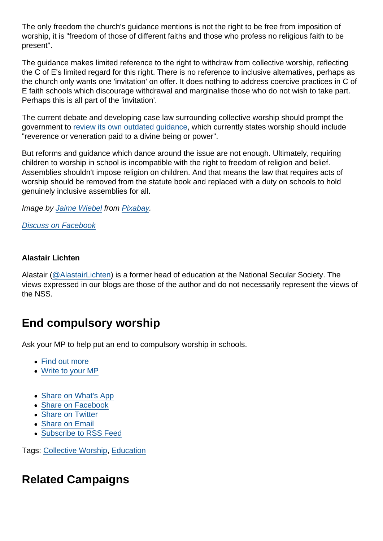The only freedom the church's guidance mentions is not the right to be free from imposition of worship, it is "freedom of those of different faiths and those who profess no religious faith to be present".

The guidance makes limited reference to the right to withdraw from collective worship, reflecting the C of E's limited regard for this right. There is no reference to inclusive alternatives, perhaps as the church only wants one 'invitation' on offer. It does nothing to address coercive practices in C of E faith schools which discourage withdrawal and marginalise those who do not wish to take part. Perhaps this is all part of the 'invitation'.

The current debate and developing case law surrounding collective worship should prompt the government to [review its own outdated guidance](https://www.secularism.org.uk/opinion/2019/08/the-government-must-respond-to-pressure-to-end-compulsory-school-worship), which currently states worship should include "reverence or veneration paid to a divine being or power".

But reforms and guidance which dance around the issue are not enough. Ultimately, requiring children to worship in school is incompatible with the right to freedom of religion and belief. Assemblies shouldn't impose religion on children. And that means the law that requires acts of worship should be removed from the statute book and replaced with a duty on schools to hold genuinely inclusive assemblies for all.

Image by [Jaime Wiebel](https://pixabay.com/users/jaimewiebel-2013133/?utm_source=link-attribution&utm_medium=referral&utm_campaign=image&utm_content=1510773) from [Pixabay](https://pixabay.com/?utm_source=link-attribution&utm_medium=referral&utm_campaign=image&utm_content=1510773).

[Discuss on Facebook](https://www.facebook.com/NationalSecularSociety/posts/3994781330590188?__cft__[0]=AZV51ViGjHr2gebA3rCmRQzqAwZ-e5pr2vrrtk_6xLTZwxQM5ndvjLwnDEWOs9M17-wE6kp82OD_wC8zvaRwzS3t0WrC7JWfYqq5zsJB2g1QBoJU_t_qeNcM3VX-HlC0WbcjcFybVrP25tXVLazsfVnS9WWJj-QGN1hZciypN1zym3SWFwz8o8-iDNGyL1hd-D8&__tn__=,O,P-R)

Alastair Lichten

Alastair [\(@AlastairLichten](https://twitter.com/alastairlichten)) is a former head of education at the National Secular Society. The views expressed in our blogs are those of the author and do not necessarily represent the views of the NSS.

## End compulsory worship

Ask your MP to help put an end to compulsory worship in schools.

- [Find out more](https://www.secularism.org.uk/end-compulsory-worship/)
- [Write to your MP](https://www.secularism.org.uk/write-to-your-mp,end-compulsory-worship-in-schools.html)
- [Share on What's App](whatsapp://send?text=http://www.secularism.org.uk/opinion/2021/05/mandated-worship-can-never-be-inclusive?format=pdf)
- [Share on Facebook](https://www.facebook.com/sharer/sharer.php?u=http://www.secularism.org.uk/opinion/2021/05/mandated-worship-can-never-be-inclusive?format=pdf&t=Mandated+worship+can+never+be+inclusive)
- [Share on Twitter](https://twitter.com/intent/tweet?url=http://www.secularism.org.uk/opinion/2021/05/mandated-worship-can-never-be-inclusive?format=pdf&text=Mandated+worship+can+never+be+inclusive&via=NatSecSoc)
- [Share on Email](https://www.secularism.org.uk/share.html?url=http://www.secularism.org.uk/opinion/2021/05/mandated-worship-can-never-be-inclusive?format=pdf&title=Mandated+worship+can+never+be+inclusive)
- [Subscribe to RSS Feed](/mnt/web-data/www/cp-nss/feeds/rss/news)

Tags: [Collective Worship,](https://www.secularism.org.uk/opinion/tags/Collective+Worship) [Education](https://www.secularism.org.uk/opinion/tags/Education)

Related Campaigns